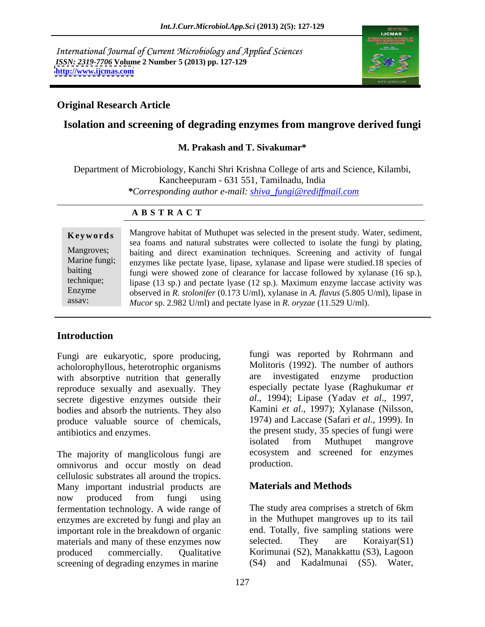International Journal of Current Microbiology and Applied Sciences *ISSN: 2319-7706* **Volume 2 Number 5 (2013) pp. 127-129 <http://www.ijcmas.com>**



### **Original Research Article**

# **Isolation and screening of degrading enzymes from mangrove derived fungi**

### **M. Prakash and T. Sivakumar\***

Department of Microbiology, Kanchi Shri Krishna College of arts and Science, Kilambi, Kancheepuram - 631 551, Tamilnadu, India *\*Corresponding author e-mail: shiva\_fungi@rediffmail.com*

### **A B S T R A C T**

**Keywords** Mangrove habitat of Muthupet was selected in the present study. Water, sediment, Mangroves; baiting and direct examination techniques. Screening and activity of fungal Marine fungi; enzymes like pectate lyase, lipase, xylanase and lipase were studied.18 species of baiting fungi were showed zone of clearance for laccase followed by xylanase (16 sp.), technique; lipase (13 sp.) and pectate lyase (12 sp.). Maximum enzyme laccase activity was Enzyme observed in *R. stolonifer* (0.173 U/ml), xylanase in *A. flavus* (5.805 U/ml), lipase in assay;<br>assay; Mucor sp. 2.982 U/ml) and pectate lyase in *R. oryzae* (11.529 U/ml). sea foams and natural substrates were collected to isolate the fungi by plating, *Mucor* sp. 2.982 U/ml) and pectate lyase in *R. oryzae* (11.529 U/ml).

# **Introduction**

Fungi are eukaryotic, spore producing, acholorophyllous, heterotrophic organisms with absorptive nutrition that generally reproduce sexually and asexually. They secrete digestive enzymes outside their bodies and absorb the nutrients. They also produce valuable source of chemicals,

The majority of manglicolous fungi are ecosystem<br>
omnivorus and occur mostly on dead production. omnivorus and occur mostly on dead cellulosic substrates all around the tropics. Many important industrial products are now produced from fungi using fermentation technology. A wide range of enzymes are excreted by fungi and play an important role in the breakdown of organic end. Totally, five sampling stations were<br>materials and many of these enzymes now selected. They are Koraiyar(S1) materials and many of these enzymes now selected. They produced commercially. Qualitative Korimunai (S2), Manakkattu (S3), Lagoon screening of degrading enzymes in marine

antibiotics and enzymes. the present study, 35 species of fungi were fungi was reported by Rohrmann and Molitoris (1992). The number of authors are investigated enzyme production especially pectate lyase (Raghukumar *et al*., 1994); Lipase (Yadav *et al*., 1997, Kamini *et al*., 1997); Xylanase (Nilsson, 1974) and Laccase (Safari *etal*., 1999). In isolated from Muthupet mangrove ecosystem and screened for enzymes production.

## **Materials and Methods**

The study area comprises a stretch of 6km in the Muthupet mangroves up to its tail end. Totally, five sampling stations were selected. They are Koraiyar(S1) (S4) and Kadalmunai (S5). Water,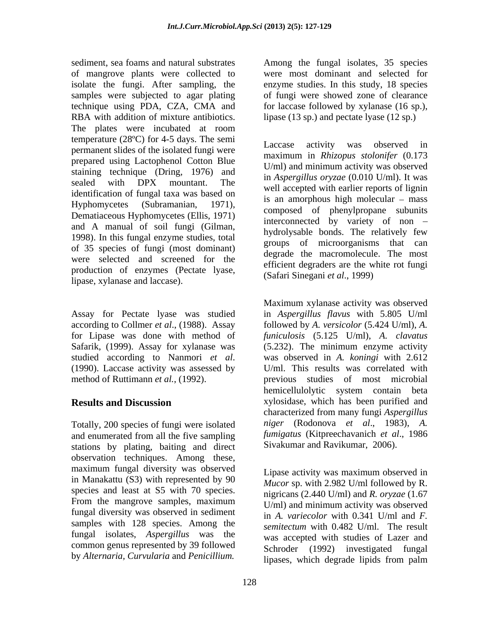sediment, sea foams and natural substrates Among the fungal isolates, 35 species of mangrove plants were collected to were most dominant and selected for isolate the fungi. After sampling, the samples were subjected to agar plating of fungi were showed zone of clearance technique using PDA, CZA, CMA and for laccase followed by xylanase (16 sp.), RBA with addition of mixture antibiotics. lipase (13 sp.) and pectate lyase (12 sp.) The plates were incubated at room temperature  $(28^{\circ}\text{C})$  for 4-5 days. The semi<br>Laccase activity was observed in permanent slides of the isolated fungi were prepared using Lactophenol Cotton Blue staining technique (Dring, 1976) and identification of fungal taxa was based on Dematiaceous Hyphomycetes (Ellis, 1971) and A manual of soil fungi (Gilman, 1998). In this fungal enzyme studies, total of 35 species of fungi (most dominant) were selected and screened for the production of enzymes (Pectate lyase, lipase, xylanase and laccase).

according to Collmer *et al*., (1988). Assay

Totally, 200 species of fungi were isolated and enumerated from all the five sampling stations by plating, baiting and direct observation techniques. Among these, maximum fungal diversity was observed in Manakattu (S3) with represented by 90 species and least at S5 with 70 species. From the mangrove samples, maximum  $H/ml$  and minimum activity was observed fungal diversity was observed in sediment samples with 128 species. Among the fungal isolates, *Aspergillus* was the common genus represented by 39 followed by *Alternaria, Curvularia* and *Penicillium.*

enzyme studies. In this study, 18 species

sealed with DPX mountant. The  $\frac{m}{\text{m}}$  result assets d with series reports of liquing Hyphomycetes (Subramanian, 1971), composed of phenylpropane subunits Laccase activity was observed in maximum in *Rhizopus stolonifer* (0.173 U/ml) and minimum activity was observed in *Aspergillus oryzae* (0.010 U/ml). It was well accepted with earlier reports of lignin is an amorphous high molecular  $-$  mass interconnected by variety of non hydrolysable bonds. The relatively few groups of microorganisms that can degrade the macromolecule. The most efficient degraders are the white rot fungi (Safari Sinegani *et al*., 1999)

Assay for Pectate lyase was studied in *Aspergillus flavus* with 5.805 U/ml for Lipase was done with method of *funiculosis* (5.125 U/ml), *A. clavatus* Safarik, (1999). Assay for xylanase was (5.232). The minimum enzyme activity studied according to Nanmori *et al*. was observed in *A. koningi* with 2.612 (1990). Laccase activity was assessed by U/ml. This results was correlated with method of Ruttimann *et al.*, (1992). previous studies of most microbial **Results and Discussion** xylosidase, which has been purified and Maximum xylanase activity was observed followed by *A. versicolor* (5.424 U/ml), *A.*  was observed in *A. koningi* with 2.612 U/ml. This results was correlated with hemicellulolytic system contain beta characterized from many fungi *Aspergillus niger* (Rodonova *et al*., 1983), *A. fumigatus* (Kitpreechavanich *et al*., 1986 Sivakumar and Ravikumar, 2006).

> Lipase activity was maximum observed in *Mucor* sp. with 2.982 U/ml followed by R. nigricans (2.440 U/ml) and *R. oryzae* (1.67 U/ml) and minimum activity was observed in *A. variecolor* with 0.341 U/ml and *F. semitectum* with 0.482 U/ml. The result was accepted with studies of Lazer and Schroder (1992) investigated fungal lipases, which degrade lipids from palm